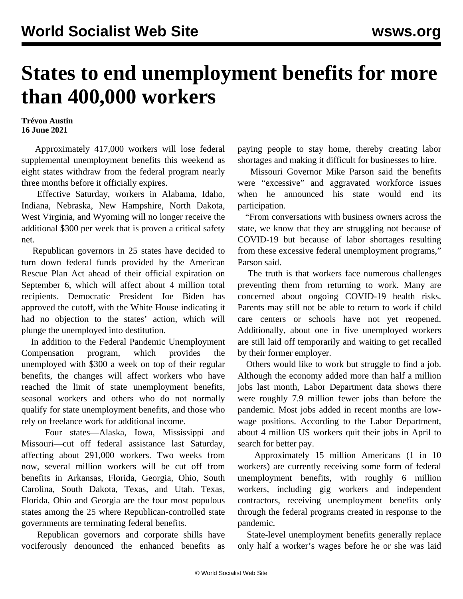## **States to end unemployment benefits for more than 400,000 workers**

## **Trévon Austin 16 June 2021**

 Approximately 417,000 workers will lose federal supplemental unemployment benefits this weekend as eight states withdraw from the federal program nearly three months before it officially expires.

 Effective Saturday, workers in Alabama, Idaho, Indiana, Nebraska, New Hampshire, North Dakota, West Virginia, and Wyoming will no longer receive the additional \$300 per week that is proven a critical safety net.

 Republican governors in 25 states have decided to turn down federal funds provided by the American Rescue Plan Act ahead of their official expiration on September 6, which will affect about 4 million total recipients. Democratic President Joe Biden has approved the cutoff, with the White House indicating it had no objection to the states' action, which will plunge the unemployed into destitution.

 In addition to the Federal Pandemic Unemployment Compensation program, which provides the unemployed with \$300 a week on top of their regular benefits, the changes will affect workers who have reached the limit of state unemployment benefits, seasonal workers and others who do not normally qualify for state unemployment benefits, and those who rely on freelance work for additional income.

 Four states—Alaska, Iowa, Mississippi and Missouri—cut off federal assistance last Saturday, affecting about 291,000 workers. Two weeks from now, several million workers will be cut off from benefits in Arkansas, Florida, Georgia, Ohio, South Carolina, South Dakota, Texas, and Utah. Texas, Florida, Ohio and Georgia are the four most populous states among the 25 where Republican-controlled state governments are terminating federal benefits.

 Republican governors and corporate shills have vociferously denounced the enhanced benefits as paying people to stay home, thereby creating labor shortages and making it difficult for businesses to hire.

 Missouri Governor Mike Parson said the benefits were "excessive" and aggravated workforce issues when he announced his state would end its participation.

 "From conversations with business owners across the state, we know that they are struggling not because of COVID-19 but because of labor shortages resulting from these excessive federal unemployment programs," Parson said.

 The truth is that workers face numerous challenges preventing them from returning to work. Many are concerned about ongoing COVID-19 health risks. Parents may still not be able to return to work if child care centers or schools have not yet reopened. Additionally, about one in five unemployed workers are still laid off temporarily and waiting to get recalled by their former employer.

 Others would like to work but struggle to find a job. Although the economy added more than half a million jobs last month, Labor Department data shows there were roughly 7.9 million fewer jobs than before the pandemic. Most jobs added in recent months are lowwage positions. According to the Labor Department, about 4 million US workers quit their jobs in April to search for better pay.

 Approximately 15 million Americans (1 in 10 workers) are currently receiving some form of federal unemployment benefits, with roughly 6 million workers, including gig workers and independent contractors, receiving unemployment benefits only through the federal programs created in response to the pandemic.

 State-level unemployment benefits generally replace only half a worker's wages before he or she was laid